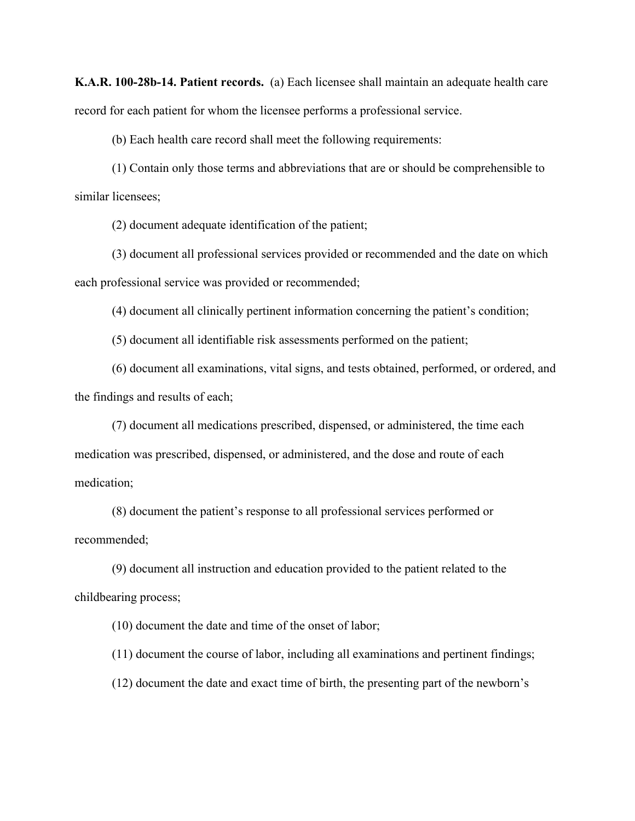**K.A.R. 100-28b-14. Patient records.** (a) Each licensee shall maintain an adequate health care record for each patient for whom the licensee performs a professional service.

(b) Each health care record shall meet the following requirements:

(1) Contain only those terms and abbreviations that are or should be comprehensible to similar licensees;

(2) document adequate identification of the patient;

(3) document all professional services provided or recommended and the date on which each professional service was provided or recommended;

(4) document all clinically pertinent information concerning the patient's condition;

(5) document all identifiable risk assessments performed on the patient;

(6) document all examinations, vital signs, and tests obtained, performed, or ordered, and the findings and results of each;

(7) document all medications prescribed, dispensed, or administered, the time each medication was prescribed, dispensed, or administered, and the dose and route of each medication;

(8) document the patient's response to all professional services performed or recommended;

(9) document all instruction and education provided to the patient related to the childbearing process;

(10) document the date and time of the onset of labor;

(11) document the course of labor, including all examinations and pertinent findings;

(12) document the date and exact time of birth, the presenting part of the newborn's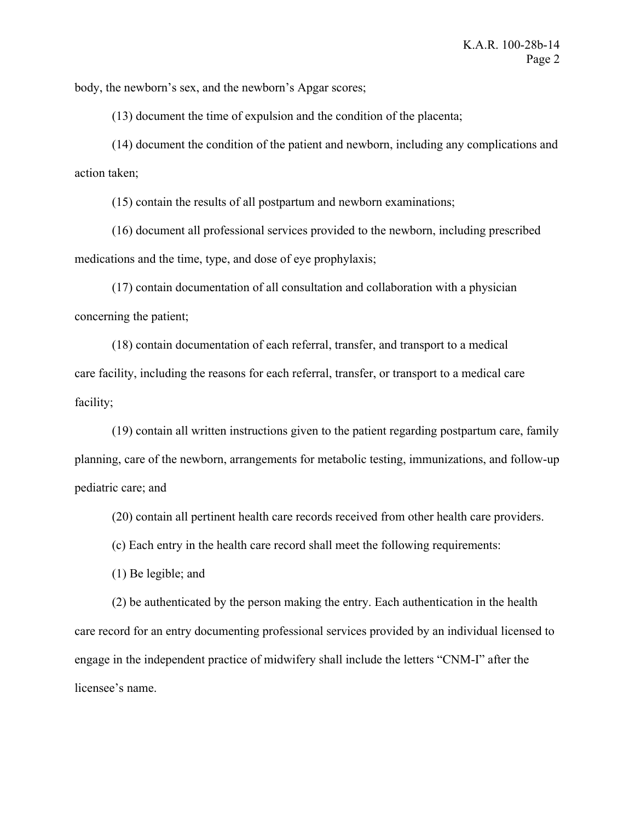body, the newborn's sex, and the newborn's Apgar scores;

(13) document the time of expulsion and the condition of the placenta;

(14) document the condition of the patient and newborn, including any complications and action taken;

(15) contain the results of all postpartum and newborn examinations;

(16) document all professional services provided to the newborn, including prescribed medications and the time, type, and dose of eye prophylaxis;

(17) contain documentation of all consultation and collaboration with a physician concerning the patient;

(18) contain documentation of each referral, transfer, and transport to a medical care facility, including the reasons for each referral, transfer, or transport to a medical care facility;

(19) contain all written instructions given to the patient regarding postpartum care, family planning, care of the newborn, arrangements for metabolic testing, immunizations, and follow-up pediatric care; and

(20) contain all pertinent health care records received from other health care providers.

(c) Each entry in the health care record shall meet the following requirements:

(1) Be legible; and

(2) be authenticated by the person making the entry. Each authentication in the health care record for an entry documenting professional services provided by an individual licensed to engage in the independent practice of midwifery shall include the letters "CNM-I" after the licensee's name.